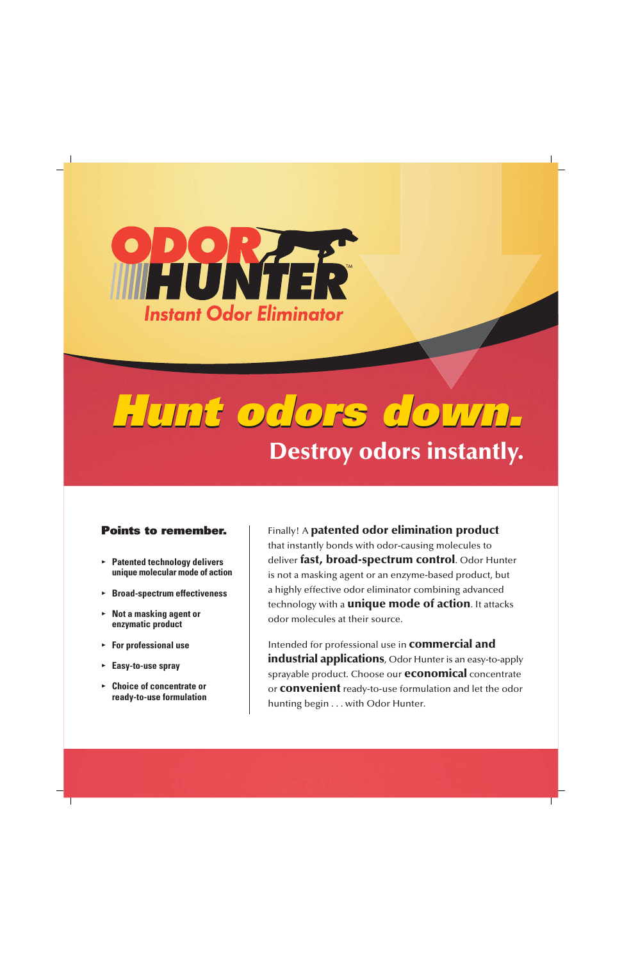

# *Hunt odors down. Hunt odors down.* **Destroy odors instantly.**

## *Points to remember.*

- **• Patented technology delivers unique molecular mode of action**
- **• Broad-spectrum effectiveness**
- **• Not a masking agent or enzymatic product**
- **• For professional use**
- **• Easy-to-use spray**
- **• Choice of concentrate or ready-to-use formulation**

Finally! A **patented odor elimination product** that instantly bonds with odor-causing molecules to deliver **fast, broad-spectrum control**. Odor Hunter is not a masking agent or an enzyme-based product, but a highly effective odor eliminator combining advanced technology with a **unique mode of action**. It attacks odor molecules at their source.

Intended for professional use in **commercial and industrial applications**, Odor Hunter is an easy-to-apply sprayable product. Choose our **economical** concentrate or **convenient** ready-to-use formulation and let the odor hunting begin . . . with Odor Hunter.